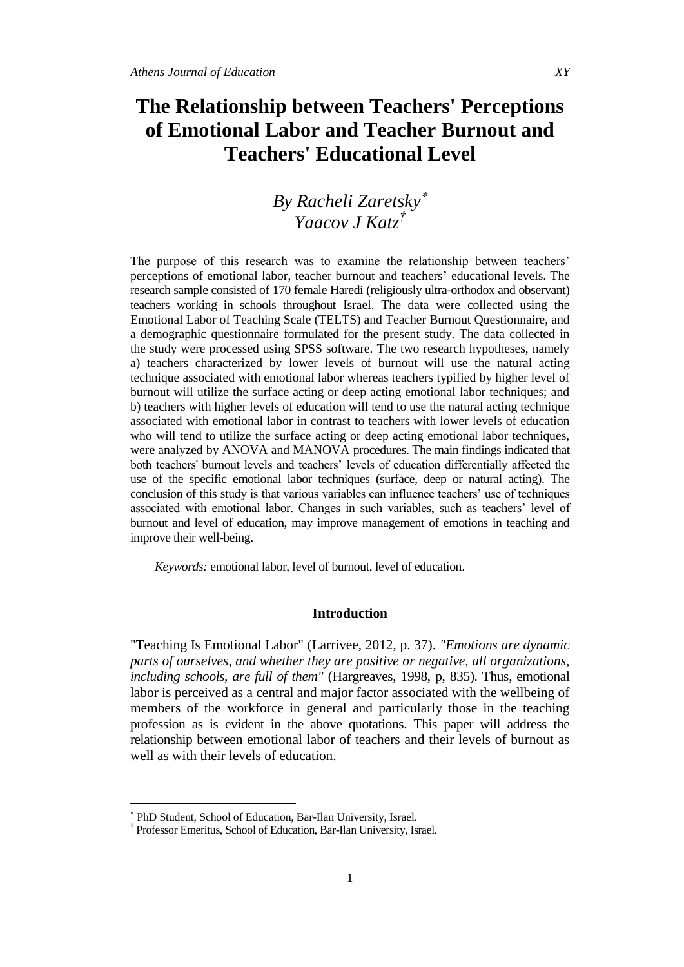# **The Relationship between Teachers' Perceptions of Emotional Labor and Teacher Burnout and Teachers' Educational Level**

# *By Racheli Zaretsky Yaacov J Katz†*

The purpose of this research was to examine the relationship between teachers' perceptions of emotional labor, teacher burnout and teachers' educational levels. The research sample consisted of 170 female Haredi (religiously ultra-orthodox and observant) teachers working in schools throughout Israel. The data were collected using the Emotional Labor of Teaching Scale (TELTS) and Teacher Burnout Questionnaire, and a demographic questionnaire formulated for the present study. The data collected in the study were processed using SPSS software. The two research hypotheses, namely a) teachers characterized by lower levels of burnout will use the natural acting technique associated with emotional labor whereas teachers typified by higher level of burnout will utilize the surface acting or deep acting emotional labor techniques; and b) teachers with higher levels of education will tend to use the natural acting technique associated with emotional labor in contrast to teachers with lower levels of education who will tend to utilize the surface acting or deep acting emotional labor techniques, were analyzed by ANOVA and MANOVA procedures. The main findings indicated that both teachers' burnout levels and teachers' levels of education differentially affected the use of the specific emotional labor techniques (surface, deep or natural acting). The conclusion of this study is that various variables can influence teachers' use of techniques associated with emotional labor. Changes in such variables, such as teachers' level of burnout and level of education, may improve management of emotions in teaching and improve their well-being.

*Keywords:* emotional labor, level of burnout, level of education.

# **Introduction**

"Teaching Is Emotional Labor" (Larrivee, 2012, p. 37). *"Emotions are dynamic parts of ourselves, and whether they are positive or negative, all organizations, including schools, are full of them"* (Hargreaves, 1998, p, 835). Thus, emotional labor is perceived as a central and major factor associated with the wellbeing of members of the workforce in general and particularly those in the teaching profession as is evident in the above quotations. This paper will address the relationship between emotional labor of teachers and their levels of burnout as well as with their levels of education.

 $\overline{a}$ 

PhD Student, School of Education, Bar-Ilan University, Israel.

<sup>†</sup> Professor Emeritus, School of Education, Bar-Ilan University, Israel.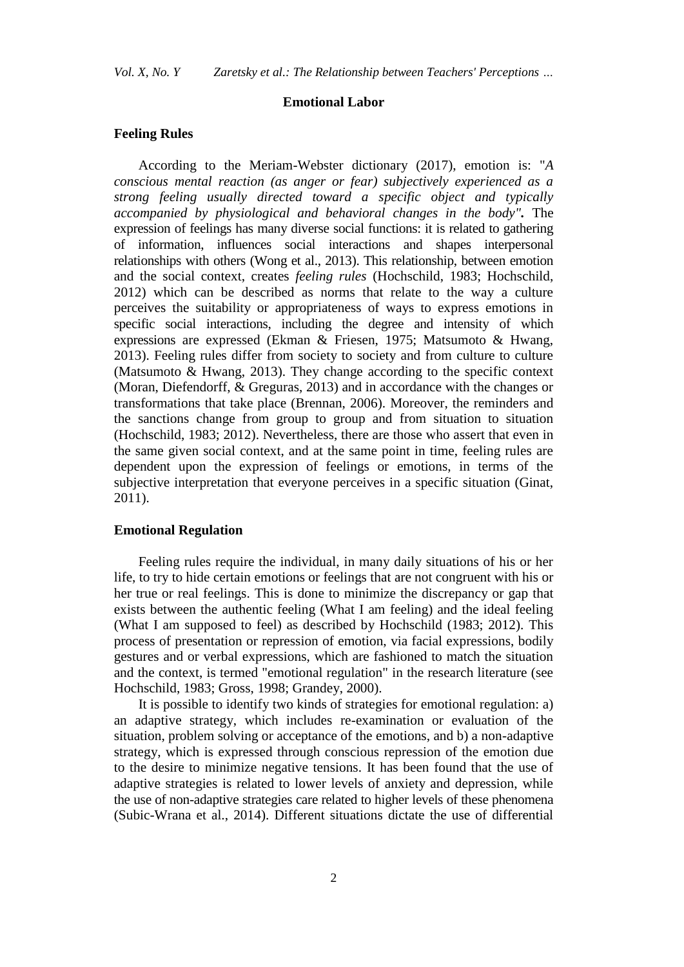*Vol. X, No. Y Zaretsky et al.: The Relationship between Teachers' Perceptions …*

## **Emotional Labor**

### **Feeling Rules**

According to the Meriam-Webster dictionary (2017), emotion is: "*A conscious mental reaction (as anger or fear) subjectively experienced as a strong feeling usually directed toward a specific object and typically accompanied by physiological and behavioral changes in the body".* The expression of feelings has many diverse social functions: it is related to gathering of information, influences social interactions and shapes interpersonal relationships with others (Wong et al., 2013). This relationship, between emotion and the social context, creates *feeling rules* (Hochschild, 1983; Hochschild, 2012) which can be described as norms that relate to the way a culture perceives the suitability or appropriateness of ways to express emotions in specific social interactions, including the degree and intensity of which expressions are expressed (Ekman & Friesen, 1975; Matsumoto & Hwang, 2013). Feeling rules differ from society to society and from culture to culture (Matsumoto & Hwang, 2013). They change according to the specific context (Moran, Diefendorff, & Greguras, 2013) and in accordance with the changes or transformations that take place (Brennan, 2006). Moreover, the reminders and the sanctions change from group to group and from situation to situation (Hochschild, 1983; 2012). Nevertheless, there are those who assert that even in the same given social context, and at the same point in time, feeling rules are dependent upon the expression of feelings or emotions, in terms of the subjective interpretation that everyone perceives in a specific situation (Ginat, 2011).

## **Emotional Regulation**

Feeling rules require the individual, in many daily situations of his or her life, to try to hide certain emotions or feelings that are not congruent with his or her true or real feelings. This is done to minimize the discrepancy or gap that exists between the authentic feeling (What I am feeling) and the ideal feeling (What I am supposed to feel) as described by Hochschild (1983; 2012). This process of presentation or repression of emotion, via facial expressions, bodily gestures and or verbal expressions, which are fashioned to match the situation and the context, is termed "emotional regulation" in the research literature (see Hochschild, 1983; Gross, 1998; Grandey, 2000).

It is possible to identify two kinds of strategies for emotional regulation: a) an adaptive strategy, which includes re-examination or evaluation of the situation, problem solving or acceptance of the emotions, and b) a non-adaptive strategy, which is expressed through conscious repression of the emotion due to the desire to minimize negative tensions. It has been found that the use of adaptive strategies is related to lower levels of anxiety and depression, while the use of non-adaptive strategies care related to higher levels of these phenomena (Subic-Wrana et al., 2014). Different situations dictate the use of differential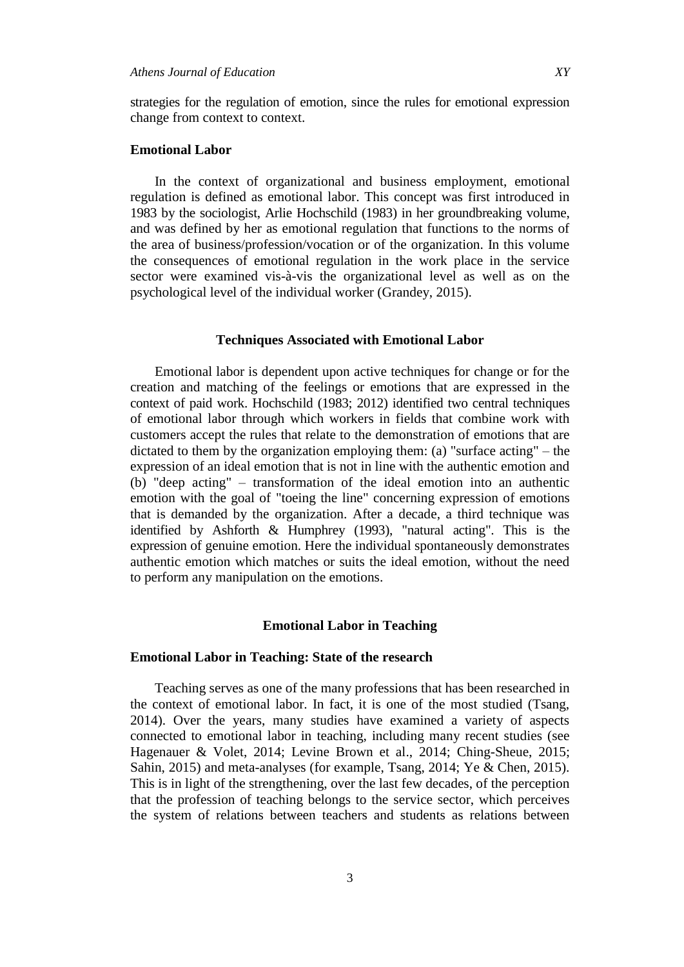strategies for the regulation of emotion, since the rules for emotional expression change from context to context.

# **Emotional Labor**

In the context of organizational and business employment, emotional regulation is defined as emotional labor. This concept was first introduced in 1983 by the sociologist, Arlie Hochschild (1983) in her groundbreaking volume, and was defined by her as emotional regulation that functions to the norms of the area of business/profession/vocation or of the organization. In this volume the consequences of emotional regulation in the work place in the service sector were examined vis-à-vis the organizational level as well as on the psychological level of the individual worker (Grandey, 2015).

# **Techniques Associated with Emotional Labor**

Emotional labor is dependent upon active techniques for change or for the creation and matching of the feelings or emotions that are expressed in the context of paid work. Hochschild (1983; 2012) identified two central techniques of emotional labor through which workers in fields that combine work with customers accept the rules that relate to the demonstration of emotions that are dictated to them by the organization employing them: (a) "surface acting" – the expression of an ideal emotion that is not in line with the authentic emotion and (b) "deep acting" – transformation of the ideal emotion into an authentic emotion with the goal of "toeing the line" concerning expression of emotions that is demanded by the organization. After a decade, a third technique was identified by Ashforth & Humphrey (1993), "natural acting". This is the expression of genuine emotion. Here the individual spontaneously demonstrates authentic emotion which matches or suits the ideal emotion, without the need to perform any manipulation on the emotions.

#### **Emotional Labor in Teaching**

#### **Emotional Labor in Teaching: State of the research**

Teaching serves as one of the many professions that has been researched in the context of emotional labor. In fact, it is one of the most studied (Tsang, 2014). Over the years, many studies have examined a variety of aspects connected to emotional labor in teaching, including many recent studies (see Hagenauer & Volet, 2014; Levine Brown et al., 2014; Ching-Sheue, 2015; Sahin, 2015) and meta-analyses (for example, Tsang, 2014; Ye & Chen, 2015). This is in light of the strengthening, over the last few decades, of the perception that the profession of teaching belongs to the service sector, which perceives the system of relations between teachers and students as relations between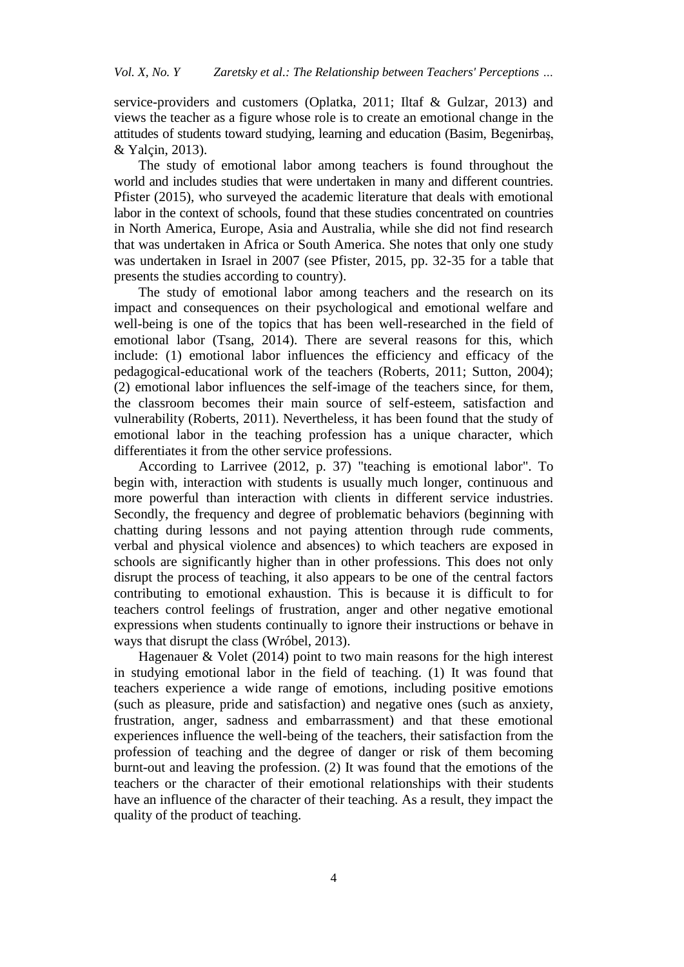service-providers and customers (Oplatka, 2011; Iltaf & Gulzar, 2013) and views the teacher as a figure whose role is to create an emotional change in the attitudes of students toward studying, learning and education (Basim, Begenirbaş, & Yalçin, 2013).

The study of emotional labor among teachers is found throughout the world and includes studies that were undertaken in many and different countries. Pfister (2015), who surveyed the academic literature that deals with emotional labor in the context of schools, found that these studies concentrated on countries in North America, Europe, Asia and Australia, while she did not find research that was undertaken in Africa or South America. She notes that only one study was undertaken in Israel in 2007 (see Pfister, 2015, pp. 32-35 for a table that presents the studies according to country).

The study of emotional labor among teachers and the research on its impact and consequences on their psychological and emotional welfare and well-being is one of the topics that has been well-researched in the field of emotional labor (Tsang, 2014). There are several reasons for this, which include: (1) emotional labor influences the efficiency and efficacy of the pedagogical-educational work of the teachers (Roberts, 2011; Sutton, 2004); (2) emotional labor influences the self-image of the teachers since, for them, the classroom becomes their main source of self-esteem, satisfaction and vulnerability (Roberts, 2011). Nevertheless, it has been found that the study of emotional labor in the teaching profession has a unique character, which differentiates it from the other service professions.

According to Larrivee (2012, p. 37) "teaching is emotional labor". To begin with, interaction with students is usually much longer, continuous and more powerful than interaction with clients in different service industries. Secondly, the frequency and degree of problematic behaviors (beginning with chatting during lessons and not paying attention through rude comments, verbal and physical violence and absences) to which teachers are exposed in schools are significantly higher than in other professions. This does not only disrupt the process of teaching, it also appears to be one of the central factors contributing to emotional exhaustion. This is because it is difficult to for teachers control feelings of frustration, anger and other negative emotional expressions when students continually to ignore their instructions or behave in ways that disrupt the class (Wróbel, 2013).

Hagenauer & Volet (2014) point to two main reasons for the high interest in studying emotional labor in the field of teaching. (1) It was found that teachers experience a wide range of emotions, including positive emotions (such as pleasure, pride and satisfaction) and negative ones (such as anxiety, frustration, anger, sadness and embarrassment) and that these emotional experiences influence the well-being of the teachers, their satisfaction from the profession of teaching and the degree of danger or risk of them becoming burnt-out and leaving the profession. (2) It was found that the emotions of the teachers or the character of their emotional relationships with their students have an influence of the character of their teaching. As a result, they impact the quality of the product of teaching.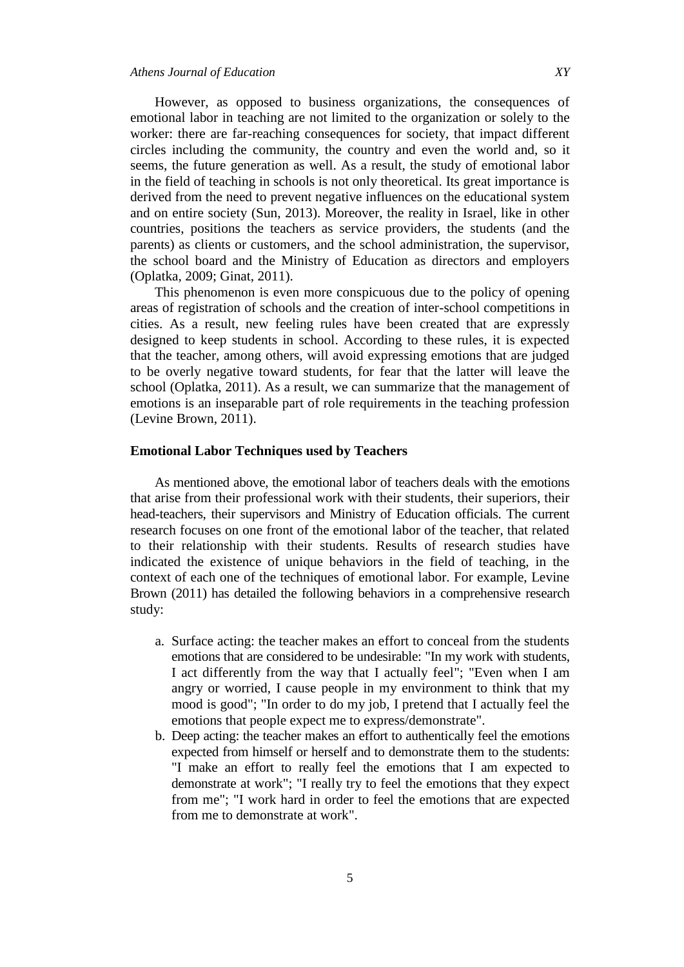However, as opposed to business organizations, the consequences of emotional labor in teaching are not limited to the organization or solely to the worker: there are far-reaching consequences for society, that impact different circles including the community, the country and even the world and, so it seems, the future generation as well. As a result, the study of emotional labor in the field of teaching in schools is not only theoretical. Its great importance is derived from the need to prevent negative influences on the educational system and on entire society (Sun, 2013). Moreover, the reality in Israel, like in other countries, positions the teachers as service providers, the students (and the parents) as clients or customers, and the school administration, the supervisor, the school board and the Ministry of Education as directors and employers (Oplatka, 2009; Ginat, 2011).

This phenomenon is even more conspicuous due to the policy of opening areas of registration of schools and the creation of inter-school competitions in cities. As a result, new feeling rules have been created that are expressly designed to keep students in school. According to these rules, it is expected that the teacher, among others, will avoid expressing emotions that are judged to be overly negative toward students, for fear that the latter will leave the school (Oplatka, 2011). As a result, we can summarize that the management of emotions is an inseparable part of role requirements in the teaching profession (Levine Brown, 2011).

# **Emotional Labor Techniques used by Teachers**

As mentioned above, the emotional labor of teachers deals with the emotions that arise from their professional work with their students, their superiors, their head-teachers, their supervisors and Ministry of Education officials. The current research focuses on one front of the emotional labor of the teacher, that related to their relationship with their students. Results of research studies have indicated the existence of unique behaviors in the field of teaching, in the context of each one of the techniques of emotional labor. For example, Levine Brown (2011) has detailed the following behaviors in a comprehensive research study:

- a. Surface acting: the teacher makes an effort to conceal from the students emotions that are considered to be undesirable: "In my work with students, I act differently from the way that I actually feel"; "Even when I am angry or worried, I cause people in my environment to think that my mood is good"; "In order to do my job, I pretend that I actually feel the emotions that people expect me to express/demonstrate".
- b. Deep acting: the teacher makes an effort to authentically feel the emotions expected from himself or herself and to demonstrate them to the students: "I make an effort to really feel the emotions that I am expected to demonstrate at work"; "I really try to feel the emotions that they expect from me"; "I work hard in order to feel the emotions that are expected from me to demonstrate at work".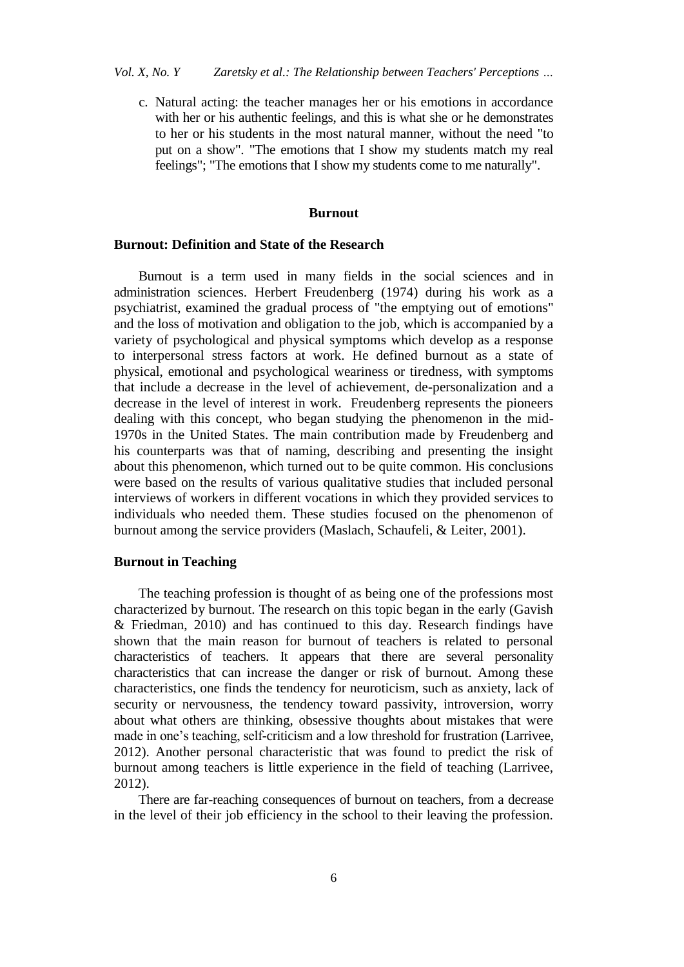c. Natural acting: the teacher manages her or his emotions in accordance with her or his authentic feelings, and this is what she or he demonstrates to her or his students in the most natural manner, without the need "to put on a show". "The emotions that I show my students match my real feelings"; "The emotions that I show my students come to me naturally".

# **Burnout**

#### **Burnout: Definition and State of the Research**

Burnout is a term used in many fields in the social sciences and in administration sciences. Herbert Freudenberg (1974) during his work as a psychiatrist, examined the gradual process of "the emptying out of emotions" and the loss of motivation and obligation to the job, which is accompanied by a variety of psychological and physical symptoms which develop as a response to interpersonal stress factors at work. He defined burnout as a state of physical, emotional and psychological weariness or tiredness, with symptoms that include a decrease in the level of achievement, de-personalization and a decrease in the level of interest in work. Freudenberg represents the pioneers dealing with this concept, who began studying the phenomenon in the mid-1970s in the United States. The main contribution made by Freudenberg and his counterparts was that of naming, describing and presenting the insight about this phenomenon, which turned out to be quite common. His conclusions were based on the results of various qualitative studies that included personal interviews of workers in different vocations in which they provided services to individuals who needed them. These studies focused on the phenomenon of burnout among the service providers (Maslach, Schaufeli, & Leiter, 2001).

#### **Burnout in Teaching**

The teaching profession is thought of as being one of the professions most characterized by burnout. The research on this topic began in the early (Gavish & Friedman, 2010) and has continued to this day. Research findings have shown that the main reason for burnout of teachers is related to personal characteristics of teachers. It appears that there are several personality characteristics that can increase the danger or risk of burnout. Among these characteristics, one finds the tendency for neuroticism, such as anxiety, lack of security or nervousness, the tendency toward passivity, introversion, worry about what others are thinking, obsessive thoughts about mistakes that were made in one's teaching, self-criticism and a low threshold for frustration (Larrivee, 2012). Another personal characteristic that was found to predict the risk of burnout among teachers is little experience in the field of teaching (Larrivee, 2012).

There are far-reaching consequences of burnout on teachers, from a decrease in the level of their job efficiency in the school to their leaving the profession.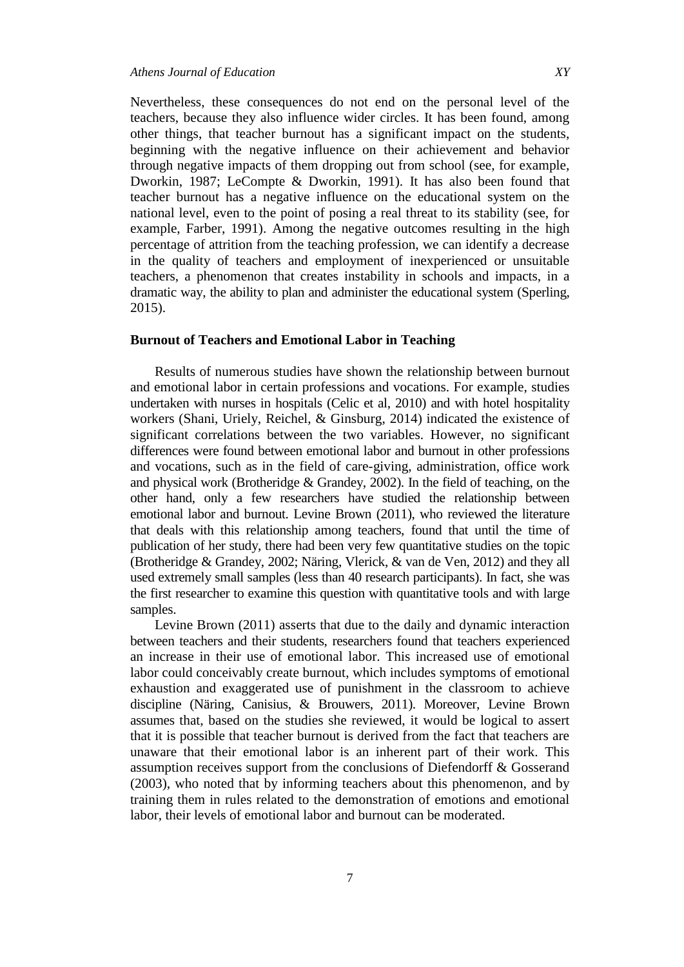Nevertheless, these consequences do not end on the personal level of the teachers, because they also influence wider circles. It has been found, among other things, that teacher burnout has a significant impact on the students, beginning with the negative influence on their achievement and behavior through negative impacts of them dropping out from school (see, for example, Dworkin, 1987; LeCompte & Dworkin, 1991). It has also been found that teacher burnout has a negative influence on the educational system on the national level, even to the point of posing a real threat to its stability (see, for example, Farber, 1991). Among the negative outcomes resulting in the high percentage of attrition from the teaching profession, we can identify a decrease in the quality of teachers and employment of inexperienced or unsuitable teachers, a phenomenon that creates instability in schools and impacts, in a dramatic way, the ability to plan and administer the educational system (Sperling, 2015).

# **Burnout of Teachers and Emotional Labor in Teaching**

Results of numerous studies have shown the relationship between burnout and emotional labor in certain professions and vocations. For example, studies undertaken with nurses in hospitals (Celic et al, 2010) and with hotel hospitality workers (Shani, Uriely, Reichel, & Ginsburg, 2014) indicated the existence of significant correlations between the two variables. However, no significant differences were found between emotional labor and burnout in other professions and vocations, such as in the field of care-giving, administration, office work and physical work (Brotheridge & Grandey, 2002). In the field of teaching, on the other hand, only a few researchers have studied the relationship between emotional labor and burnout. Levine Brown (2011), who reviewed the literature that deals with this relationship among teachers, found that until the time of publication of her study, there had been very few quantitative studies on the topic (Brotheridge & Grandey, 2002; Näring, Vlerick, & van de Ven, 2012) and they all used extremely small samples (less than 40 research participants). In fact, she was the first researcher to examine this question with quantitative tools and with large samples.

Levine Brown (2011) asserts that due to the daily and dynamic interaction between teachers and their students, researchers found that teachers experienced an increase in their use of emotional labor. This increased use of emotional labor could conceivably create burnout, which includes symptoms of emotional exhaustion and exaggerated use of punishment in the classroom to achieve discipline (Näring, Canisius, & Brouwers, 2011). Moreover, Levine Brown assumes that, based on the studies she reviewed, it would be logical to assert that it is possible that teacher burnout is derived from the fact that teachers are unaware that their emotional labor is an inherent part of their work. This assumption receives support from the conclusions of Diefendorff & Gosserand (2003), who noted that by informing teachers about this phenomenon, and by training them in rules related to the demonstration of emotions and emotional labor, their levels of emotional labor and burnout can be moderated.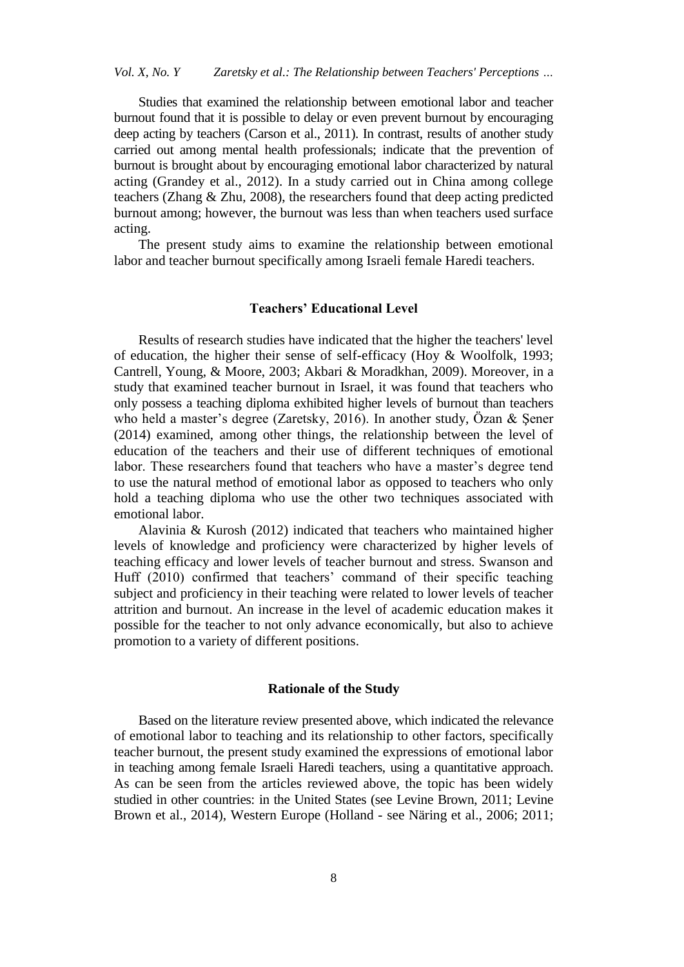Studies that examined the relationship between emotional labor and teacher burnout found that it is possible to delay or even prevent burnout by encouraging deep acting by teachers (Carson et al., 2011). In contrast, results of another study carried out among mental health professionals; indicate that the prevention of burnout is brought about by encouraging emotional labor characterized by natural acting (Grandey et al., 2012). In a study carried out in China among college teachers (Zhang & Zhu, 2008), the researchers found that deep acting predicted burnout among; however, the burnout was less than when teachers used surface acting.

The present study aims to examine the relationship between emotional labor and teacher burnout specifically among Israeli female Haredi teachers.

# **Teachers' Educational Level**

Results of research studies have indicated that the higher the teachers' level of education, the higher their sense of self-efficacy (Hoy & Woolfolk, 1993; Cantrell, Young, & Moore, 2003; Akbari & Moradkhan, 2009). Moreover, in a study that examined teacher burnout in Israel, it was found that teachers who only possess a teaching diploma exhibited higher levels of burnout than teachers who held a master's degree (Zaretsky, 2016). In another study, Özan & Şener (2014) examined, among other things, the relationship between the level of education of the teachers and their use of different techniques of emotional labor. These researchers found that teachers who have a master's degree tend to use the natural method of emotional labor as opposed to teachers who only hold a teaching diploma who use the other two techniques associated with emotional labor.

Alavinia & Kurosh (2012) indicated that teachers who maintained higher levels of knowledge and proficiency were characterized by higher levels of teaching efficacy and lower levels of teacher burnout and stress. Swanson and Huff (2010) confirmed that teachers' command of their specific teaching subject and proficiency in their teaching were related to lower levels of teacher attrition and burnout. An increase in the level of academic education makes it possible for the teacher to not only advance economically, but also to achieve promotion to a variety of different positions.

#### **Rationale of the Study**

Based on the literature review presented above, which indicated the relevance of emotional labor to teaching and its relationship to other factors, specifically teacher burnout, the present study examined the expressions of emotional labor in teaching among female Israeli Haredi teachers, using a quantitative approach. As can be seen from the articles reviewed above, the topic has been widely studied in other countries: in the United States (see Levine Brown, 2011; Levine Brown et al., 2014), Western Europe (Holland - see Näring et al., 2006; 2011;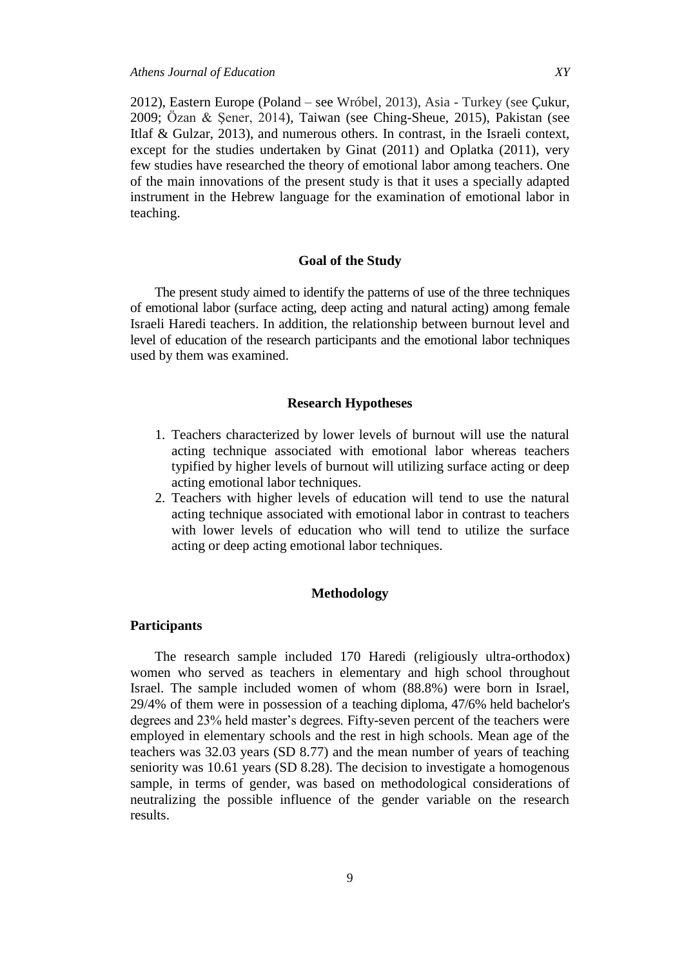2012), Eastern Europe (Poland – see Wróbel, 2013), Asia - Turkey (see Çukur, 2009; Özan & Şener, 2014), Taiwan (see Ching-Sheue, 2015), Pakistan (see Itlaf & Gulzar, 2013), and numerous others. In contrast, in the Israeli context, except for the studies undertaken by Ginat (2011) and Oplatka (2011), very few studies have researched the theory of emotional labor among teachers. One of the main innovations of the present study is that it uses a specially adapted instrument in the Hebrew language for the examination of emotional labor in teaching.

# **Goal of the Study**

The present study aimed to identify the patterns of use of the three techniques of emotional labor (surface acting, deep acting and natural acting) among female Israeli Haredi teachers. In addition, the relationship between burnout level and level of education of the research participants and the emotional labor techniques used by them was examined.

#### **Research Hypotheses**

- 1. Teachers characterized by lower levels of burnout will use the natural acting technique associated with emotional labor whereas teachers typified by higher levels of burnout will utilizing surface acting or deep acting emotional labor techniques.
- 2. Teachers with higher levels of education will tend to use the natural acting technique associated with emotional labor in contrast to teachers with lower levels of education who will tend to utilize the surface acting or deep acting emotional labor techniques.

# **Methodology**

# **Participants**

The research sample included 170 Haredi (religiously ultra-orthodox) women who served as teachers in elementary and high school throughout Israel. The sample included women of whom (88.8%) were born in Israel, 29/4% of them were in possession of a teaching diploma, 47/6% held bachelor's degrees and 23% held master's degrees. Fifty-seven percent of the teachers were employed in elementary schools and the rest in high schools. Mean age of the teachers was 32.03 years (SD 8.77) and the mean number of years of teaching seniority was 10.61 years (SD 8.28). The decision to investigate a homogenous sample, in terms of gender, was based on methodological considerations of neutralizing the possible influence of the gender variable on the research results.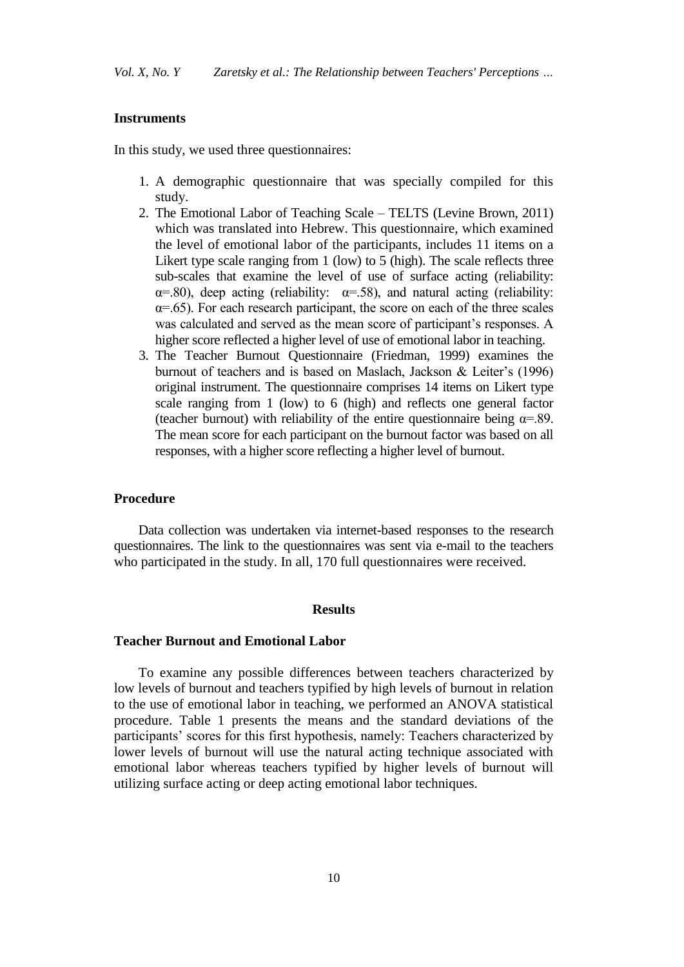#### **Instruments**

In this study, we used three questionnaires:

- 1. A demographic questionnaire that was specially compiled for this study.
- 2. The Emotional Labor of Teaching Scale TELTS (Levine Brown, 2011) which was translated into Hebrew. This questionnaire, which examined the level of emotional labor of the participants, includes 11 items on a Likert type scale ranging from 1 (low) to 5 (high). The scale reflects three sub-scales that examine the level of use of surface acting (reliability:  $\alpha$ =.80), deep acting (reliability:  $\alpha$ =.58), and natural acting (reliability:  $\alpha$ =.65). For each research participant, the score on each of the three scales was calculated and served as the mean score of participant's responses. A higher score reflected a higher level of use of emotional labor in teaching.
- 3. The Teacher Burnout Questionnaire (Friedman, 1999) examines the burnout of teachers and is based on Maslach, Jackson & Leiter's (1996) original instrument. The questionnaire comprises 14 items on Likert type scale ranging from 1 (low) to 6 (high) and reflects one general factor (teacher burnout) with reliability of the entire questionnaire being  $\alpha = .89$ . The mean score for each participant on the burnout factor was based on all responses, with a higher score reflecting a higher level of burnout.

# **Procedure**

Data collection was undertaken via internet-based responses to the research questionnaires. The link to the questionnaires was sent via e-mail to the teachers who participated in the study. In all, 170 full questionnaires were received.

# **Results**

#### **Teacher Burnout and Emotional Labor**

To examine any possible differences between teachers characterized by low levels of burnout and teachers typified by high levels of burnout in relation to the use of emotional labor in teaching, we performed an ANOVA statistical procedure. Table 1 presents the means and the standard deviations of the participants' scores for this first hypothesis, namely: Teachers characterized by lower levels of burnout will use the natural acting technique associated with emotional labor whereas teachers typified by higher levels of burnout will utilizing surface acting or deep acting emotional labor techniques.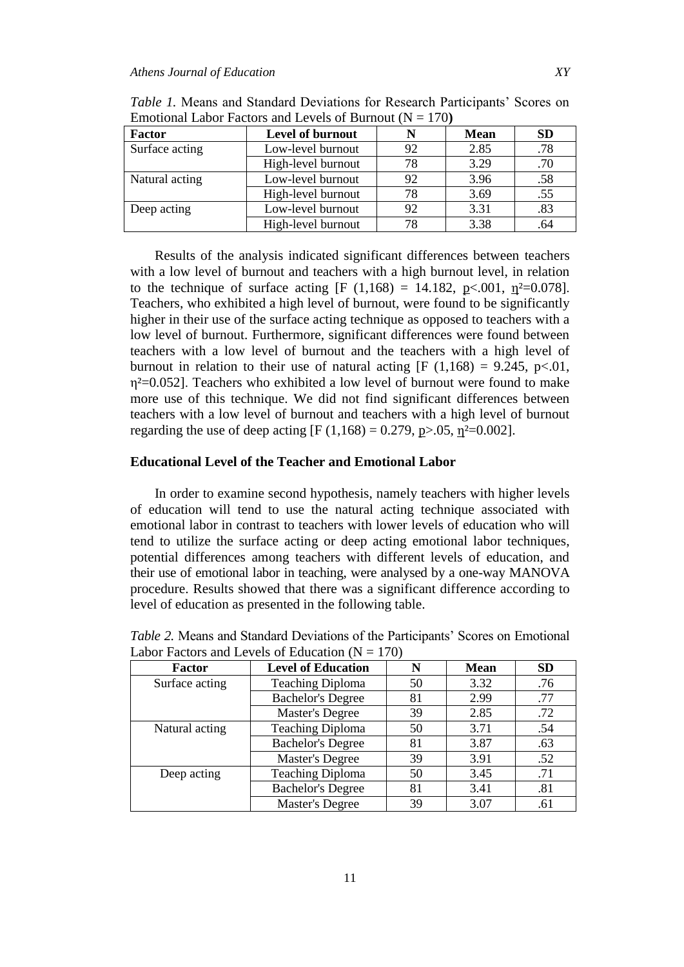| <b>Factor</b>  | Level of burnout   |    | <b>Mean</b> | <b>SD</b> |
|----------------|--------------------|----|-------------|-----------|
| Surface acting | Low-level burnout  | 92 | 2.85        | .78       |
|                | High-level burnout | 78 | 3.29        | .70       |
| Natural acting | Low-level burnout  | 92 | 3.96        | .58       |
|                | High-level burnout | 78 | 3.69        | .55       |
| Deep acting    | Low-level burnout  | 92 | 3.31        | .83       |
|                | High-level burnout |    | 3.38        | .64       |

*Table 1.* Means and Standard Deviations for Research Participants' Scores on Emotional Labor Factors and Levels of Burnout  $(N = 170)$ 

Results of the analysis indicated significant differences between teachers with a low level of burnout and teachers with a high burnout level, in relation to the technique of surface acting [F (1,168) = 14.182, p<.001,  $\eta^2$ =0.078]. Teachers, who exhibited a high level of burnout, were found to be significantly higher in their use of the surface acting technique as opposed to teachers with a low level of burnout. Furthermore, significant differences were found between teachers with a low level of burnout and the teachers with a high level of burnout in relation to their use of natural acting  $[F (1,168) = 9.245, p < 0.01]$ ,  $\eta^2$ =0.052]. Teachers who exhibited a low level of burnout were found to make more use of this technique. We did not find significant differences between teachers with a low level of burnout and teachers with a high level of burnout regarding the use of deep acting [F (1,168) = 0.279, p>.05,  $n^2$ =0.002].

# **Educational Level of the Teacher and Emotional Labor**

In order to examine second hypothesis, namely teachers with higher levels of education will tend to use the natural acting technique associated with emotional labor in contrast to teachers with lower levels of education who will tend to utilize the surface acting or deep acting emotional labor techniques, potential differences among teachers with different levels of education, and their use of emotional labor in teaching, were analysed by a one-way MANOVA procedure. Results showed that there was a significant difference according to level of education as presented in the following table.

| Factor         | <b>Level of Education</b> | N  | <b>Mean</b> | <b>SD</b> |
|----------------|---------------------------|----|-------------|-----------|
| Surface acting | <b>Teaching Diploma</b>   | 50 | 3.32        | .76       |
|                | <b>Bachelor's Degree</b>  | 81 | 2.99        | .77       |
|                | Master's Degree           | 39 | 2.85        | .72       |
| Natural acting | <b>Teaching Diploma</b>   | 50 | 3.71        | .54       |
|                | <b>Bachelor's Degree</b>  | 81 | 3.87        | .63       |
|                | <b>Master's Degree</b>    | 39 | 3.91        | .52       |
| Deep acting    | <b>Teaching Diploma</b>   | 50 | 3.45        | .71       |
|                | <b>Bachelor's Degree</b>  | 81 | 3.41        | .81       |
|                | Master's Degree           | 39 | 3.07        | .61       |

*Table 2.* Means and Standard Deviations of the Participants' Scores on Emotional Labor Factors and Levels of Education  $(N = 170)$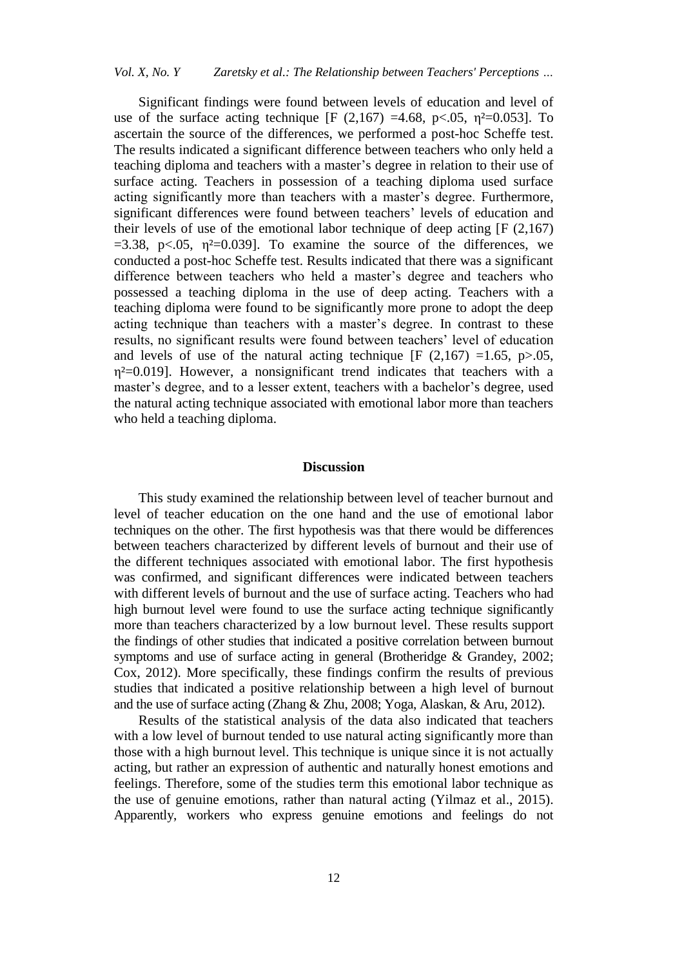Significant findings were found between levels of education and level of use of the surface acting technique [F  $(2,167)$  =4.68, p<.05, p<sup>2</sup>=0.053]. To ascertain the source of the differences, we performed a post-hoc Scheffe test. The results indicated a significant difference between teachers who only held a teaching diploma and teachers with a master's degree in relation to their use of surface acting. Teachers in possession of a teaching diploma used surface acting significantly more than teachers with a master's degree. Furthermore, significant differences were found between teachers' levels of education and their levels of use of the emotional labor technique of deep acting  $[F (2,167)]$  $=3.38$ , p $\lt 0.05$ ,  $\eta^2=0.039$ ]. To examine the source of the differences, we conducted a post-hoc Scheffe test. Results indicated that there was a significant difference between teachers who held a master's degree and teachers who possessed a teaching diploma in the use of deep acting. Teachers with a teaching diploma were found to be significantly more prone to adopt the deep acting technique than teachers with a master's degree. In contrast to these results, no significant results were found between teachers' level of education and levels of use of the natural acting technique  $[F (2,167) =1.65, p>0.05,$  $\eta^2 = 0.019$ ]. However, a nonsignificant trend indicates that teachers with a master's degree, and to a lesser extent, teachers with a bachelor's degree, used the natural acting technique associated with emotional labor more than teachers who held a teaching diploma.

#### **Discussion**

This study examined the relationship between level of teacher burnout and level of teacher education on the one hand and the use of emotional labor techniques on the other. The first hypothesis was that there would be differences between teachers characterized by different levels of burnout and their use of the different techniques associated with emotional labor. The first hypothesis was confirmed, and significant differences were indicated between teachers with different levels of burnout and the use of surface acting. Teachers who had high burnout level were found to use the surface acting technique significantly more than teachers characterized by a low burnout level. These results support the findings of other studies that indicated a positive correlation between burnout symptoms and use of surface acting in general (Brotheridge & Grandey, 2002; Cox, 2012). More specifically, these findings confirm the results of previous studies that indicated a positive relationship between a high level of burnout and the use of surface acting (Zhang & Zhu, 2008; Yoga, Alaskan, & Aru, 2012).

Results of the statistical analysis of the data also indicated that teachers with a low level of burnout tended to use natural acting significantly more than those with a high burnout level. This technique is unique since it is not actually acting, but rather an expression of authentic and naturally honest emotions and feelings. Therefore, some of the studies term this emotional labor technique as the use of genuine emotions, rather than natural acting (Yilmaz et al., 2015). Apparently, workers who express genuine emotions and feelings do not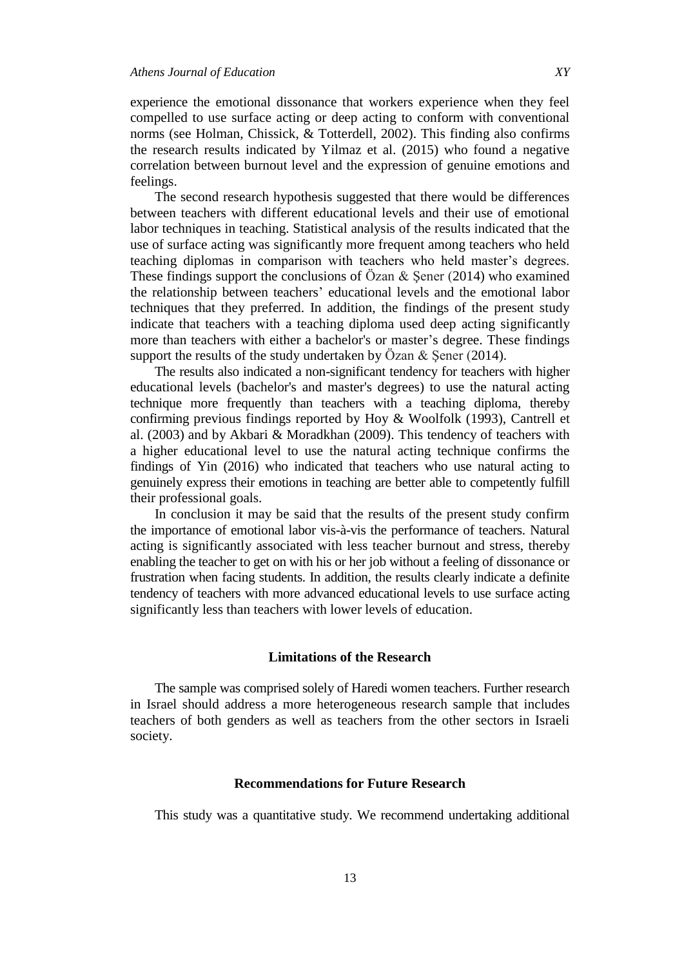experience the emotional dissonance that workers experience when they feel compelled to use surface acting or deep acting to conform with conventional norms (see Holman, Chissick, & Totterdell, 2002). This finding also confirms the research results indicated by Yilmaz et al. (2015) who found a negative correlation between burnout level and the expression of genuine emotions and feelings.

The second research hypothesis suggested that there would be differences between teachers with different educational levels and their use of emotional labor techniques in teaching. Statistical analysis of the results indicated that the use of surface acting was significantly more frequent among teachers who held teaching diplomas in comparison with teachers who held master's degrees. These findings support the conclusions of  $\ddot{O}$ zan & Sener (2014) who examined the relationship between teachers' educational levels and the emotional labor techniques that they preferred. In addition, the findings of the present study indicate that teachers with a teaching diploma used deep acting significantly more than teachers with either a bachelor's or master's degree. These findings support the results of the study undertaken by Özan & Şener (2014).

The results also indicated a non-significant tendency for teachers with higher educational levels (bachelor's and master's degrees) to use the natural acting technique more frequently than teachers with a teaching diploma, thereby confirming previous findings reported by Hoy & Woolfolk (1993), Cantrell et al. (2003) and by Akbari & Moradkhan (2009). This tendency of teachers with a higher educational level to use the natural acting technique confirms the findings of Yin (2016) who indicated that teachers who use natural acting to genuinely express their emotions in teaching are better able to competently fulfill their professional goals.

In conclusion it may be said that the results of the present study confirm the importance of emotional labor vis-à-vis the performance of teachers. Natural acting is significantly associated with less teacher burnout and stress, thereby enabling the teacher to get on with his or her job without a feeling of dissonance or frustration when facing students. In addition, the results clearly indicate a definite tendency of teachers with more advanced educational levels to use surface acting significantly less than teachers with lower levels of education.

#### **Limitations of the Research**

The sample was comprised solely of Haredi women teachers. Further research in Israel should address a more heterogeneous research sample that includes teachers of both genders as well as teachers from the other sectors in Israeli society.

## **Recommendations for Future Research**

This study was a quantitative study. We recommend undertaking additional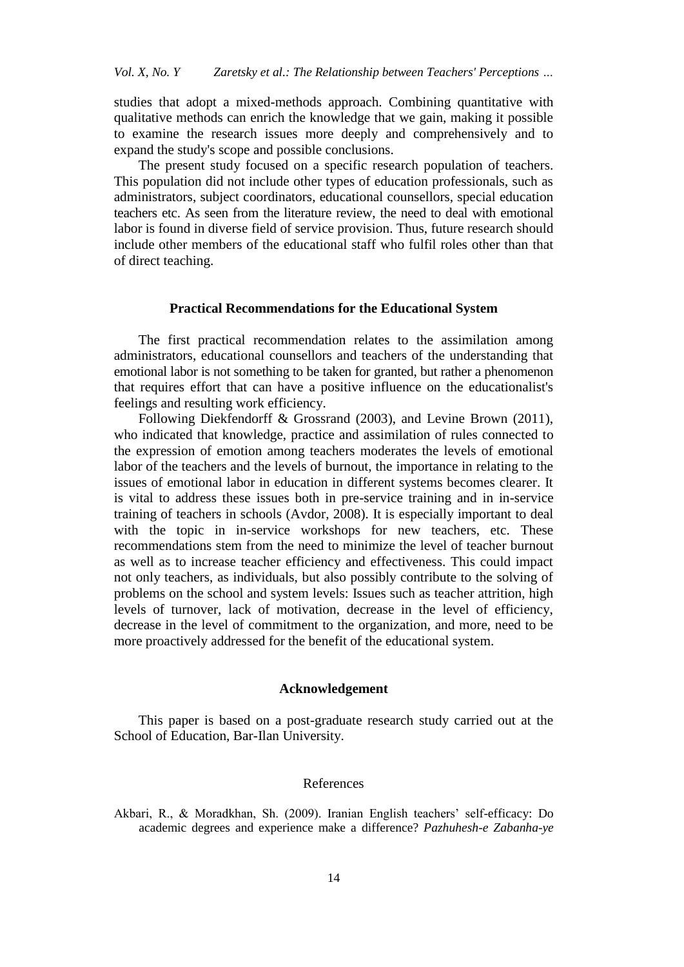studies that adopt a mixed-methods approach. Combining quantitative with qualitative methods can enrich the knowledge that we gain, making it possible to examine the research issues more deeply and comprehensively and to expand the study's scope and possible conclusions.

The present study focused on a specific research population of teachers. This population did not include other types of education professionals, such as administrators, subject coordinators, educational counsellors, special education teachers etc. As seen from the literature review, the need to deal with emotional labor is found in diverse field of service provision. Thus, future research should include other members of the educational staff who fulfil roles other than that of direct teaching.

## **Practical Recommendations for the Educational System**

The first practical recommendation relates to the assimilation among administrators, educational counsellors and teachers of the understanding that emotional labor is not something to be taken for granted, but rather a phenomenon that requires effort that can have a positive influence on the educationalist's feelings and resulting work efficiency.

Following Diekfendorff & Grossrand (2003), and Levine Brown (2011), who indicated that knowledge, practice and assimilation of rules connected to the expression of emotion among teachers moderates the levels of emotional labor of the teachers and the levels of burnout, the importance in relating to the issues of emotional labor in education in different systems becomes clearer. It is vital to address these issues both in pre-service training and in in-service training of teachers in schools (Avdor, 2008). It is especially important to deal with the topic in in-service workshops for new teachers, etc. These recommendations stem from the need to minimize the level of teacher burnout as well as to increase teacher efficiency and effectiveness. This could impact not only teachers, as individuals, but also possibly contribute to the solving of problems on the school and system levels: Issues such as teacher attrition, high levels of turnover, lack of motivation, decrease in the level of efficiency, decrease in the level of commitment to the organization, and more, need to be more proactively addressed for the benefit of the educational system.

#### **Acknowledgement**

This paper is based on a post-graduate research study carried out at the School of Education, Bar-Ilan University.

## References

Akbari, R., & Moradkhan, Sh. (2009). Iranian English teachers' self-efficacy: Do academic degrees and experience make a difference? *Pazhuhesh-e Zabanha-ye*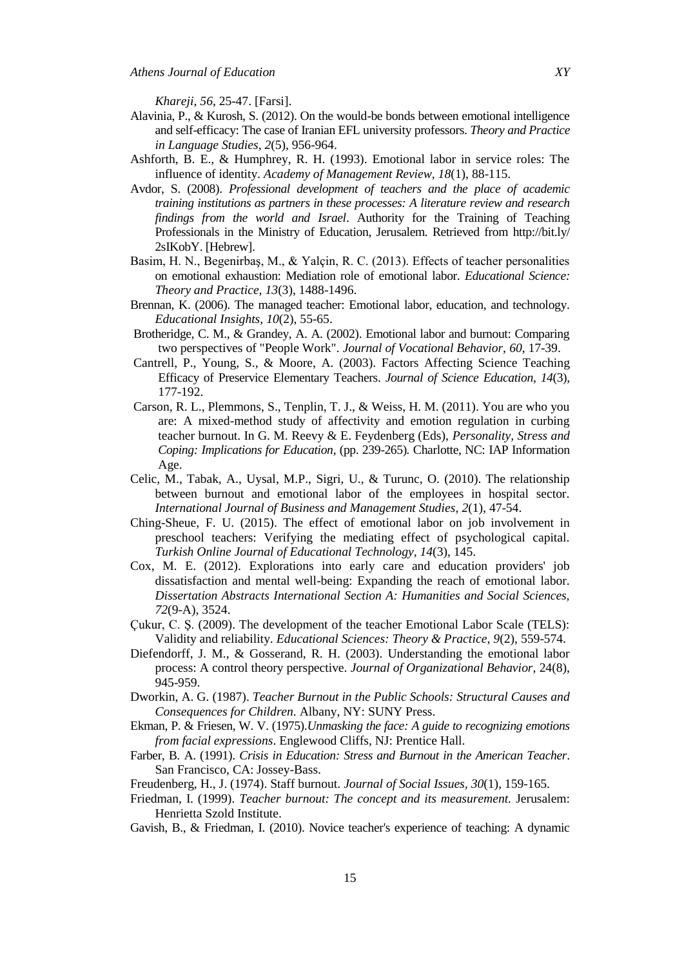*Khareji*, *56*, 25-47. [Farsi].

- Alavinia, P., & Kurosh, S. (2012). On the would-be bonds between emotional intelligence and self-efficacy: The case of Iranian EFL university professors. *Theory and Practice in Language Studies, 2*(5), 956-964.
- Ashforth, B. E., & Humphrey, R. H. (1993). Emotional labor in service roles: The influence of identity. *Academy of Management Review, 18*(1), 88-115.
- Avdor, S. (2008). *Professional development of teachers and the place of academic training institutions as partners in these processes: A literature review and research findings from the world and Israel*. Authority for the Training of Teaching Professionals in the Ministry of Education, Jerusalem. Retrieved from http://bit.ly/ 2sIKobY. [Hebrew].
- Basim, H. N., Begenirbaş, M., & Yalçin, R. C. (2013). Effects of teacher personalities on emotional exhaustion: Mediation role of emotional labor. *Educational Science: Theory and Practice, 13*(3), 1488-1496.
- Brennan, K. (2006). The managed teacher: Emotional labor, education, and technology. *Educational Insights, 10*(2), 55-65.
- Brotheridge, C. M., & Grandey, A. A. (2002). Emotional labor and burnout: Comparing two perspectives of "People Work". *Journal of Vocational Behavior, 60*, 17-39.
- Cantrell, P., Young, S., & Moore, A. (2003). Factors Affecting Science Teaching Efficacy of Preservice Elementary Teachers. *Journal of Science Education*, *14*(3), 177-192.
- Carson, R. L., Plemmons, S., Tenplin, T. J., & Weiss, H. M. (2011). You are who you are: A mixed-method study of affectivity and emotion regulation in curbing teacher burnout. In G. M. Reevy & E. Feydenberg (Eds), *Personality, Stress and Coping: Implications for Education*, (pp. 239-265)*.* Charlotte, NC: IAP Information Age.
- Celic, M., Tabak, A., Uysal, M.P., Sigri, U., & Turunc, O. (2010). The relationship between burnout and emotional labor of the employees in hospital sector. *International Journal of Business and Management Studies, 2*(1), 47-54.
- Ching-Sheue, F. U. (2015). The effect of emotional labor on job involvement in preschool teachers: Verifying the mediating effect of psychological capital. *Turkish Online Journal of Educational Technology, 14*(3), 145.
- Cox, M. E. (2012). Explorations into early care and education providers' job dissatisfaction and mental well-being: Expanding the reach of emotional labor. *Dissertation Abstracts International Section A: Humanities and Social Sciences, 72*(9-A), 3524.
- Çukur, C. Ş. (2009). The development of the teacher Emotional Labor Scale (TELS): Validity and reliability. *Educational Sciences: Theory & Practice, 9*(2), 559-574.
- Diefendorff, J. M., & Gosserand, R. H. (2003). Understanding the emotional labor process: A control theory perspective. *Journal of Organizational Behavior,* 24(8), 945-959.
- Dworkin, A. G. (1987). *Teacher Burnout in the Public Schools: Structural Causes and Consequences for Children*. Albany, NY: SUNY Press.
- Ekman, P. & Friesen, W. V. (1975).*Unmasking the face: A guide to recognizing emotions from facial expressions*. Englewood Cliffs, NJ: Prentice Hall.
- Farber, B. A. (1991). *Crisis in Education: Stress and Burnout in the American Teacher*. San Francisco, CA: Jossey-Bass.
- Freudenberg, H., J. (1974). Staff burnout. *Journal of Social Issues, 30*(1), 159-165.
- Friedman, I. (1999). *Teacher burnout: The concept and its measurement.* Jerusalem: Henrietta Szold Institute.
- Gavish, B., & Friedman, I. (2010). Novice teacher's experience of teaching: A dynamic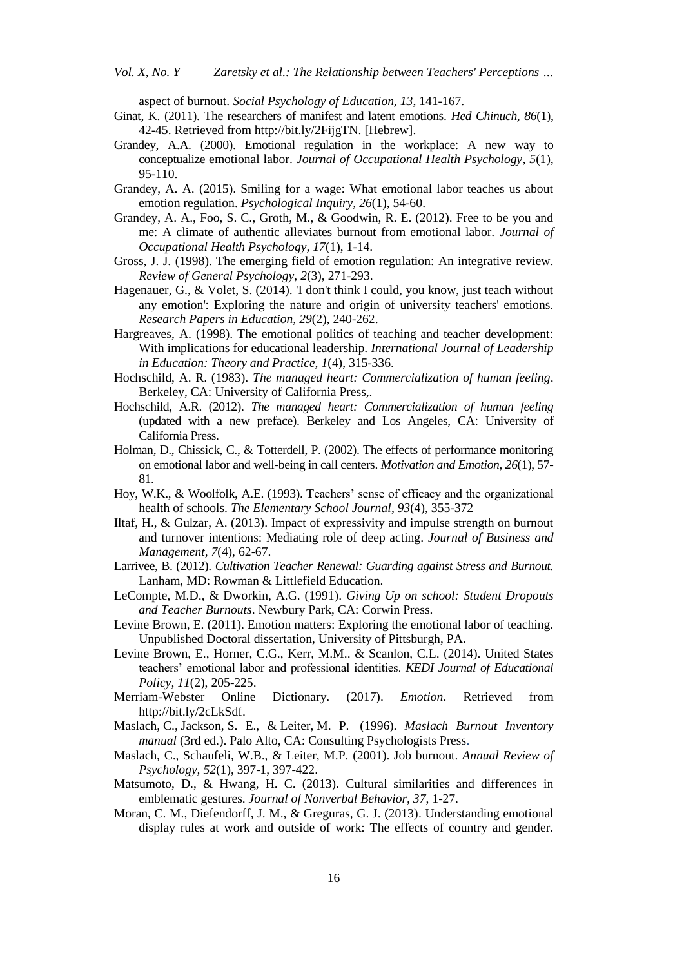aspect of burnout. *Social Psychology of Education, 13*, 141-167.

- Ginat, K. (2011). The researchers of manifest and latent emotions. *Hed Chinuch, 86*(1), 42-45. Retrieved from http://bit.ly/2FijgTN. [Hebrew].
- Grandey, A.A. (2000). Emotional regulation in the workplace: A new way to conceptualize emotional labor. *Journal of Occupational Health Psychology*, *5*(1), 95-110.
- Grandey, A. A. (2015). Smiling for a wage: What emotional labor teaches us about emotion regulation. *Psychological Inquiry, 26*(1), 54-60.
- Grandey, A. A., Foo, S. C., Groth, M., & Goodwin, R. E. (2012). Free to be you and me: A climate of authentic alleviates burnout from emotional labor. *Journal of Occupational Health Psychology, 17*(1), 1-14.
- Gross, J. J. (1998). The emerging field of emotion regulation: An integrative review. *Review of General Psychology*, *2*(3), 271-293.
- Hagenauer, G., & Volet, S. (2014). 'I don't think I could, you know, just teach without any emotion': Exploring the nature and origin of university teachers' emotions. *Research Papers in Education, 29*(2), 240-262.
- Hargreaves, A. (1998). The emotional politics of teaching and teacher development: With implications for educational leadership. *International Journal of Leadership in Education: Theory and Practice, 1*(4), 315-336.
- Hochschild, A. R. (1983). *The managed heart: Commercialization of human feeling*. Berkeley, CA: University of California Press,.
- Hochschild, A.R. (2012). *The managed heart: Commercialization of human feeling* (updated with a new preface). Berkeley and Los Angeles, CA: University of California Press.
- Holman, D., Chissick, C., & Totterdell, P. (2002). The effects of performance monitoring on emotional labor and well-being in call centers. *Motivation and Emotion, 26*(1), 57- 81.
- Hoy, W.K., & Woolfolk, A.E. (1993). Teachers' sense of efficacy and the organizational health of schools. *The Elementary School Journal*, *93*(4), 355-372
- Iltaf, H., & Gulzar, A. (2013). Impact of expressivity and impulse strength on burnout and turnover intentions: Mediating role of deep acting. *Journal of Business and Management, 7*(4), 62-67.
- Larrivee, B. (2012). *Cultivation Teacher Renewal: Guarding against Stress and Burnout.* Lanham, MD: Rowman & Littlefield Education.
- LeCompte, M.D., & Dworkin, A.G. (1991). *Giving Up on school: Student Dropouts and Teacher Burnouts*. Newbury Park, CA: Corwin Press.
- Levine Brown, E. (2011). Emotion matters: Exploring the emotional labor of teaching. Unpublished Doctoral dissertation, University of Pittsburgh, PA.
- Levine Brown, E., Horner, C.G., Kerr, M.M.. & Scanlon, C.L. (2014). United States teachers' emotional labor and professional identities. *KEDI Journal of Educational Policy, 11*(2), 205-225.
- Merriam-Webster Online Dictionary. (2017). *Emotion*. Retrieved from http://bit.ly/2cLkSdf.
- Maslach, C., Jackson, S. E., & Leiter, M. P. (1996). *Maslach Burnout Inventory manual* (3rd ed.). Palo Alto, CA: Consulting Psychologists Press.
- Maslach, C., Schaufeli, W.B., & Leiter, M.P. (2001). Job burnout. *Annual Review of Psychology, 52*(1), 397-1, 397-422.
- Matsumoto, D., & Hwang, H. C. (2013). Cultural similarities and differences in emblematic gestures. *Journal of Nonverbal Behavior, 37*, 1-27.
- Moran, C. M., Diefendorff, J. M., & Greguras, G. J. (2013). Understanding emotional display rules at work and outside of work: The effects of country and gender.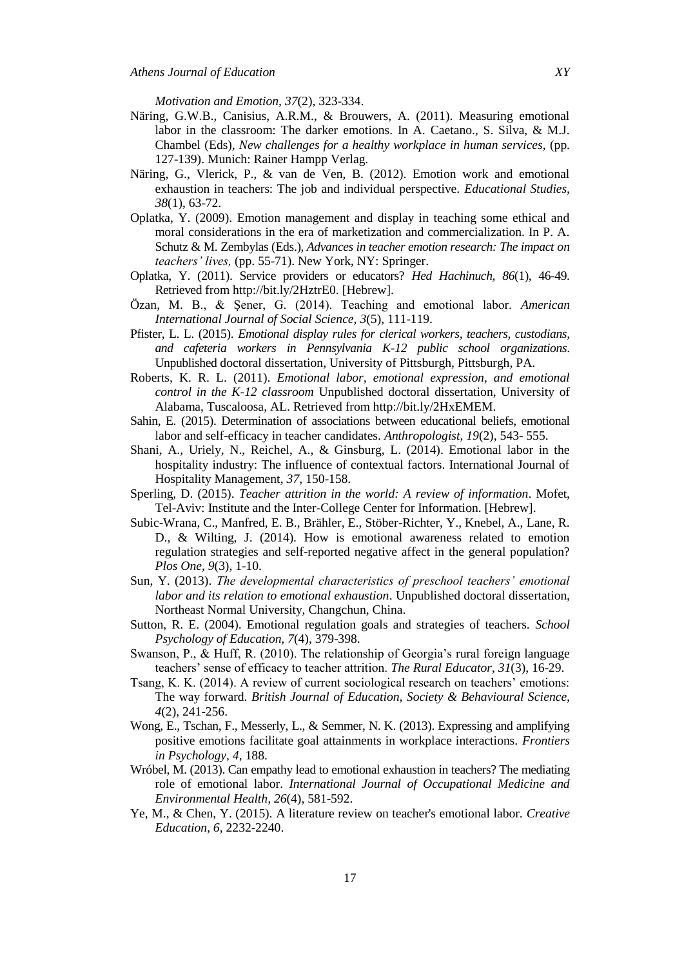*Motivation and Emotion, 37*(2), 323-334.

- Näring, G.W.B., Canisius, A.R.M., & Brouwers, A. (2011). Measuring emotional labor in the classroom: The darker emotions. In A. Caetano., S. Silva, & M.J. Chambel (Eds), *New challenges for a healthy workplace in human services,* (pp. 127-139). Munich: Rainer Hampp Verlag.
- Näring, G., Vlerick, P., & van de Ven, B. (2012). Emotion work and emotional exhaustion in teachers: The job and individual perspective. *Educational Studies, 38*(1), 63-72.
- Oplatka, Y. (2009). Emotion management and display in teaching some ethical and moral considerations in the era of marketization and commercialization. In P. A. Schutz & M. Zembylas (Eds.), *Advances in teacher emotion research: The impact on teachers' lives,* (pp. 55-71). New York, NY: Springer.
- Oplatka, Y. (2011). Service providers or educators? *Hed Hachinuch, 86*(1)*,* 46-49. Retrieved from http://bit.ly/2HztrE0. [Hebrew].
- Özan, M. B., & Şener, G. (2014). Teaching and emotional labor. *American International Journal of Social Science, 3*(5), 111-119.
- Pfister, L. L. (2015). *Emotional display rules for clerical workers, teachers, custodians, and cafeteria workers in Pennsylvania K-12 public school organizations*. Unpublished doctoral dissertation, University of Pittsburgh, Pittsburgh, PA.
- Roberts, K. R. L. (2011). *Emotional labor, emotional expression, and emotional control in the K-12 classroom* Unpublished doctoral dissertation, University of Alabama, Tuscaloosa, AL. Retrieved from http://bit.ly/2HxEMEM.
- Sahin, E. (2015). Determination of associations between educational beliefs, emotional labor and self-efficacy in teacher candidates. *Anthropologist, 19*(2), 543- 555.
- Shani, A., Uriely, N., Reichel, A., & Ginsburg, L. (2014). Emotional labor in the hospitality industry: The influence of contextual factors. International Journal of Hospitality Management, *37*, 150-158.
- Sperling, D. (2015). *Teacher attrition in the world: A review of information*. Mofet, Tel-Aviv: Institute and the Inter-College Center for Information. [Hebrew].
- Subic-Wrana, C., Manfred, E. B., Brähler, E., Stöber-Richter, Y., Knebel, A., Lane, R. D., & Wilting, J. (2014). How is emotional awareness related to emotion regulation strategies and self-reported negative affect in the general population? *Plos One, 9*(3), 1-10.
- Sun, Y. (2013). *The developmental characteristics of preschool teachers' emotional labor and its relation to emotional exhaustion*. Unpublished doctoral dissertation, Northeast Normal University, Changchun, China.
- Sutton, R. E. (2004). Emotional regulation goals and strategies of teachers. *School Psychology of Education, 7*(4), 379-398.
- Swanson, P., & Huff, R. (2010). The relationship of Georgia's rural foreign language teachers' sense of efficacy to teacher attrition. *The Rural Educator*, *31*(3), 16-29.
- Tsang, K. K. (2014). A review of current sociological research on teachers' emotions: The way forward. *British Journal of Education, Society & Behavioural Science, 4*(2), 241-256.
- Wong, E., Tschan, F., Messerly, L., & Semmer, N. K. (2013). Expressing and amplifying positive emotions facilitate goal attainments in workplace interactions. *Frontiers in Psychology, 4*, 188.
- Wróbel, M. (2013). Can empathy lead to emotional exhaustion in teachers? The mediating role of emotional labor. *International Journal of Occupational Medicine and Environmental Health, 26*(4), 581-592.
- Ye, M., & Chen, Y. (2015). A literature review on teacher's emotional labor. *Creative Education, 6,* 2232-2240.